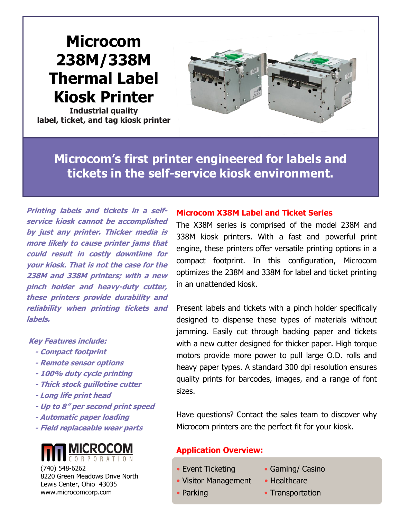# **Microcom 238M/338M Thermal Label Kiosk Printer**

**Industrial quality label, ticket, and tag kiosk printer**



**Microcom's first printer engineered for labels and tickets in the self-service kiosk environment.**

**Printing labels and tickets in a selfservice kiosk cannot be accomplished by just any printer. Thicker media is more likely to cause printer jams that could result in costly downtime for your kiosk. That is not the case for the 238M and 338M printers; with a new pinch holder and heavy-duty cutter, these printers provide durability and reliability when printing tickets and labels.**

#### **Key Features include:**

- **- Compact footprint**
- **- Remote sensor options**
- **- 100% duty cycle printing**
- **- Thick stock guillotine cutter**
- **- Long life print head**
- **- Up to 8" per second print speed**
- **- Automatic paper loading**
- **- Field replaceable wear parts**



(740) 548-6262 8220 Green Meadows Drive North Lewis Center, Ohio 43035 www.microcomcorp.com

## **Microcom X38M Label and Ticket Series**

The X38M series is comprised of the model 238M and 338M kiosk printers. With a fast and powerful print engine, these printers offer versatile printing options in a compact footprint. In this configuration, Microcom optimizes the 238M and 338M for label and ticket printing in an unattended kiosk.

Present labels and tickets with a pinch holder specifically designed to dispense these types of materials without jamming. Easily cut through backing paper and tickets with a new cutter designed for thicker paper. High torque motors provide more power to pull large O.D. rolls and heavy paper types. A standard 300 dpi resolution ensures quality prints for barcodes, images, and a range of font sizes.

Have questions? Contact the sales team to discover why Microcom printers are the perfect fit for your kiosk.

# **Application Overview:**

I

- Visitor Management Healthcare
- 

ī

- Event Ticketing Gaming/ Casino
	-
- Parking  **Transportation**